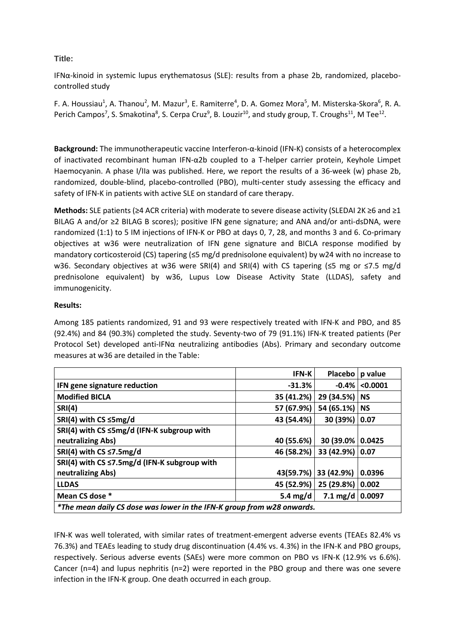## **Title:**

IFNα-kinoid in systemic lupus erythematosus (SLE): results from a phase 2b, randomized, placebocontrolled study

F. A. Houssiau<sup>1</sup>, A. Thanou<sup>2</sup>, M. Mazur<sup>3</sup>, E. Ramiterre<sup>4</sup>, D. A. Gomez Mora<sup>5</sup>, M. Misterska-Skora<sup>6</sup>, R. A. Perich Campos<sup>7</sup>, S. Smakotina<sup>8</sup>, S. Cerpa Cruz<sup>9</sup>, B. Louzir<sup>10</sup>, and study group, T. Croughs<sup>11</sup>, M Tee<sup>12</sup>.

**Background:** The immunotherapeutic vaccine Interferon-α-kinoid (IFN-K) consists of a heterocomplex of inactivated recombinant human IFN-α2b coupled to a T-helper carrier protein, Keyhole Limpet Haemocyanin. A phase I/IIa was published. Here, we report the results of a 36-week (w) phase 2b, randomized, double-blind, placebo-controlled (PBO), multi-center study assessing the efficacy and safety of IFN-K in patients with active SLE on standard of care therapy.

**Methods:** SLE patients (≥4 ACR criteria) with moderate to severe disease activity (SLEDAI 2K ≥6 and ≥1 BILAG A and/or ≥2 BILAG B scores); positive IFN gene signature; and ANA and/or anti-dsDNA, were randomized (1:1) to 5 IM injections of IFN-K or PBO at days 0, 7, 28, and months 3 and 6. Co-primary objectives at w36 were neutralization of IFN gene signature and BICLA response modified by mandatory corticosteroid (CS) tapering (≤5 mg/d prednisolone equivalent) by w24 with no increase to w36. Secondary objectives at w36 were SRI(4) and SRI(4) with CS tapering (≤5 mg or ≤7.5 mg/d prednisolone equivalent) by w36, Lupus Low Disease Activity State (LLDAS), safety and immunogenicity.

## **Results:**

Among 185 patients randomized, 91 and 93 were respectively treated with IFN-K and PBO, and 85 (92.4%) and 84 (90.3%) completed the study. Seventy-two of 79 (91.1%) IFN-K treated patients (Per Protocol Set) developed anti-IFN $\alpha$  neutralizing antibodies (Abs). Primary and secondary outcome measures at w36 are detailed in the Table:

|                                                                        | <b>IFN-K</b> | <b>Placebo</b>          | p value   |
|------------------------------------------------------------------------|--------------|-------------------------|-----------|
| IFN gene signature reduction                                           | $-31.3%$     | $-0.4\%$ l              | < 0.0001  |
| <b>Modified BICLA</b>                                                  | 35 (41.2%)   | 29 (34.5%)              | <b>NS</b> |
| <b>SRI(4)</b>                                                          | 57 (67.9%)   | 54 (65.1%)              | <b>NS</b> |
| SRI(4) with $CS \leq 5mg/d$                                            | 43 (54.4%)   | 30 (39%)                | 0.07      |
| SRI(4) with CS ≤5mg/d (IFN-K subgroup with                             |              |                         |           |
| neutralizing Abs)                                                      | 40 (55.6%)   | 30 (39.0%               | 0.0425    |
| SRI(4) with $CS \leq 7.5$ mg/d                                         | 46 (58.2%)   | 33 (42.9%) 0.07         |           |
| SRI(4) with CS $\leq$ 7.5mg/d (IFN-K subgroup with                     |              |                         |           |
| neutralizing Abs)                                                      | 43(59.7%)    | 33 (42.9%)              | 0.0396    |
| <b>LLDAS</b>                                                           | 45 (52.9%)   | 25 (29.8%)              | 0.002     |
| Mean CS dose *                                                         | 5.4 $mg/d$   | 7.1 mg/d $\vert$ 0.0097 |           |
| *The mean daily CS dose was lower in the IFN-K group from w28 onwards. |              |                         |           |

IFN-K was well tolerated, with similar rates of treatment-emergent adverse events (TEAEs 82.4% vs 76.3%) and TEAEs leading to study drug discontinuation (4.4% vs. 4.3%) in the IFN-K and PBO groups, respectively. Serious adverse events (SAEs) were more common on PBO vs IFN-K (12.9% vs 6.6%). Cancer ( $n=4$ ) and lupus nephritis ( $n=2$ ) were reported in the PBO group and there was one severe infection in the IFN-K group. One death occurred in each group.